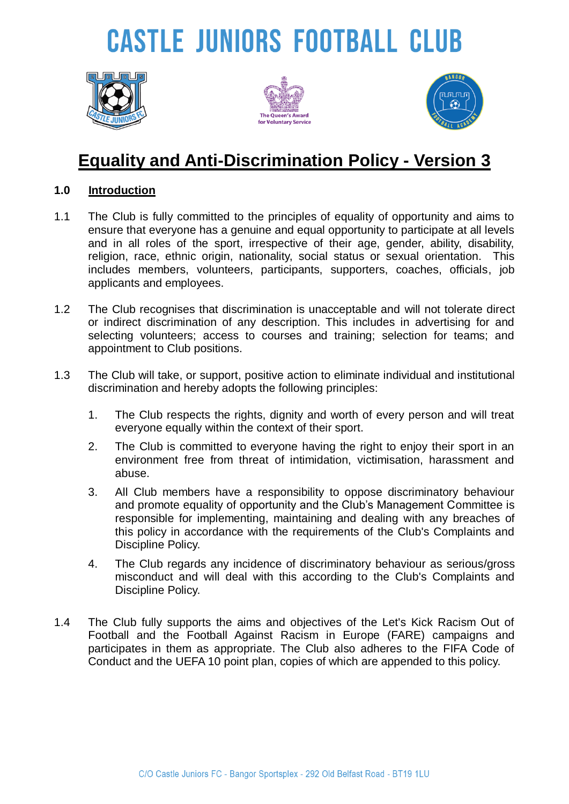# **CASTLE JUNIORS FOOTBALL CLUB**







### **Equality and Anti-Discrimination Policy - Version 3**

#### **1.0 Introduction**

- 1.1 The Club is fully committed to the principles of equality of opportunity and aims to ensure that everyone has a genuine and equal opportunity to participate at all levels and in all roles of the sport, irrespective of their age, gender, ability, disability, religion, race, ethnic origin, nationality, social status or sexual orientation. This includes members, volunteers, participants, supporters, coaches, officials, job applicants and employees.
- 1.2 The Club recognises that discrimination is unacceptable and will not tolerate direct or indirect discrimination of any description. This includes in advertising for and selecting volunteers; access to courses and training; selection for teams; and appointment to Club positions.
- 1.3 The Club will take, or support, positive action to eliminate individual and institutional discrimination and hereby adopts the following principles:
	- 1. The Club respects the rights, dignity and worth of every person and will treat everyone equally within the context of their sport.
	- 2. The Club is committed to everyone having the right to enjoy their sport in an environment free from threat of intimidation, victimisation, harassment and abuse.
	- 3. All Club members have a responsibility to oppose discriminatory behaviour and promote equality of opportunity and the Club's Management Committee is responsible for implementing, maintaining and dealing with any breaches of this policy in accordance with the requirements of the Club's Complaints and Discipline Policy.
	- 4. The Club regards any incidence of discriminatory behaviour as serious/gross misconduct and will deal with this according to the Club's Complaints and Discipline Policy.
- 1.4 The Club fully supports the aims and objectives of the Let's Kick Racism Out of Football and the Football Against Racism in Europe (FARE) campaigns and participates in them as appropriate. The Club also adheres to the FIFA Code of Conduct and the UEFA 10 point plan, copies of which are appended to this policy.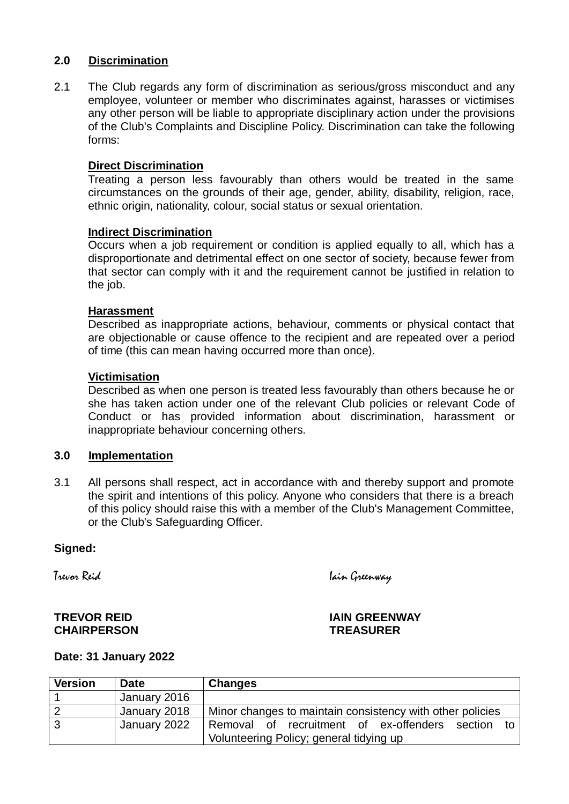#### **2.0 Discrimination**

2.1 The Club regards any form of discrimination as serious/gross misconduct and any employee, volunteer or member who discriminates against, harasses or victimises any other person will be liable to appropriate disciplinary action under the provisions of the Club's Complaints and Discipline Policy. Discrimination can take the following forms:

#### **Direct Discrimination**

Treating a person less favourably than others would be treated in the same circumstances on the grounds of their age, gender, ability, disability, religion, race, ethnic origin, nationality, colour, social status or sexual orientation.

#### **Indirect Discrimination**

Occurs when a job requirement or condition is applied equally to all, which has a disproportionate and detrimental effect on one sector of society, because fewer from that sector can comply with it and the requirement cannot be justified in relation to the job.

#### **Harassment**

Described as inappropriate actions, behaviour, comments or physical contact that are objectionable or cause offence to the recipient and are repeated over a period of time (this can mean having occurred more than once).

#### **Victimisation**

Described as when one person is treated less favourably than others because he or she has taken action under one of the relevant Club policies or relevant Code of Conduct or has provided information about discrimination, harassment or inappropriate behaviour concerning others.

#### **3.0 Implementation**

3.1 All persons shall respect, act in accordance with and thereby support and promote the spirit and intentions of this policy. Anyone who considers that there is a breach of this policy should raise this with a member of the Club's Management Committee, or the Club's Safeguarding Officer.

#### **Signed:**

Trevor Reid Iain Greenway

## **CHAIRPERSON TREASURER**

**TREVOR REID IAIN GREENWAY**

#### **Date: 31 January 2022**

| <b>Version</b> | <b>Date</b>  | <b>Changes</b>                                            |
|----------------|--------------|-----------------------------------------------------------|
|                | January 2016 |                                                           |
|                | January 2018 | Minor changes to maintain consistency with other policies |
| 3              | January 2022 | Removal of recruitment of ex-offenders section to         |
|                |              | Volunteering Policy; general tidying up                   |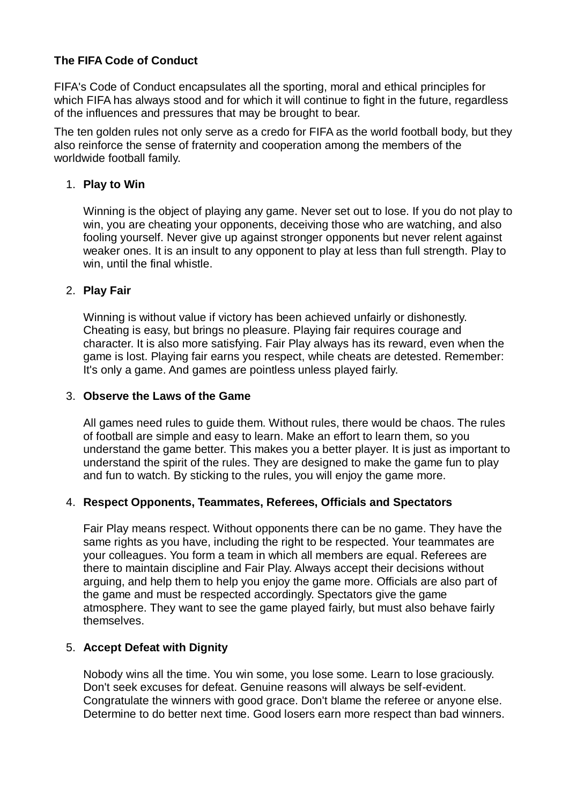#### **The FIFA Code of Conduct**

FIFA's Code of Conduct encapsulates all the sporting, moral and ethical principles for which FIFA has always stood and for which it will continue to fight in the future, regardless of the influences and pressures that may be brought to bear.

The ten golden rules not only serve as a credo for FIFA as the world football body, but they also reinforce the sense of fraternity and cooperation among the members of the worldwide football family.

#### 1. **Play to Win**

Winning is the object of playing any game. Never set out to lose. If you do not play to win, you are cheating your opponents, deceiving those who are watching, and also fooling yourself. Never give up against stronger opponents but never relent against weaker ones. It is an insult to any opponent to play at less than full strength. Play to win, until the final whistle.

#### 2. **Play Fair**

Winning is without value if victory has been achieved unfairly or dishonestly. Cheating is easy, but brings no pleasure. Playing fair requires courage and character. It is also more satisfying. Fair Play always has its reward, even when the game is lost. Playing fair earns you respect, while cheats are detested. Remember: It's only a game. And games are pointless unless played fairly.

#### 3. **Observe the Laws of the Game**

All games need rules to guide them. Without rules, there would be chaos. The rules of football are simple and easy to learn. Make an effort to learn them, so you understand the game better. This makes you a better player. It is just as important to understand the spirit of the rules. They are designed to make the game fun to play and fun to watch. By sticking to the rules, you will enjoy the game more.

#### 4. **Respect Opponents, Teammates, Referees, Officials and Spectators**

Fair Play means respect. Without opponents there can be no game. They have the same rights as you have, including the right to be respected. Your teammates are your colleagues. You form a team in which all members are equal. Referees are there to maintain discipline and Fair Play. Always accept their decisions without arguing, and help them to help you enjoy the game more. Officials are also part of the game and must be respected accordingly. Spectators give the game atmosphere. They want to see the game played fairly, but must also behave fairly themselves.

#### 5. **Accept Defeat with Dignity**

Nobody wins all the time. You win some, you lose some. Learn to lose graciously. Don't seek excuses for defeat. Genuine reasons will always be self-evident. Congratulate the winners with good grace. Don't blame the referee or anyone else. Determine to do better next time. Good losers earn more respect than bad winners.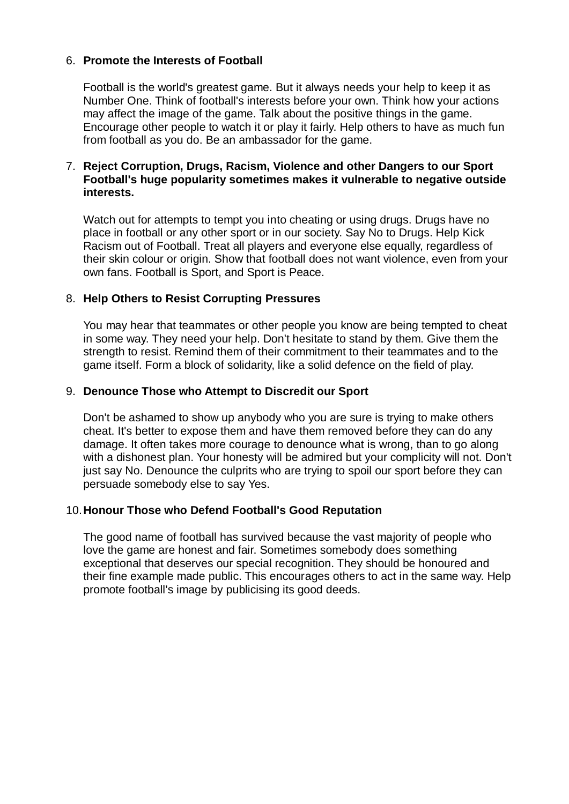#### 6. **Promote the Interests of Football**

Football is the world's greatest game. But it always needs your help to keep it as Number One. Think of football's interests before your own. Think how your actions may affect the image of the game. Talk about the positive things in the game. Encourage other people to watch it or play it fairly. Help others to have as much fun from football as you do. Be an ambassador for the game.

#### 7. **Reject Corruption, Drugs, Racism, Violence and other Dangers to our Sport Football's huge popularity sometimes makes it vulnerable to negative outside interests.**

Watch out for attempts to tempt you into cheating or using drugs. Drugs have no place in football or any other sport or in our society. Say No to Drugs. Help Kick Racism out of Football. Treat all players and everyone else equally, regardless of their skin colour or origin. Show that football does not want violence, even from your own fans. Football is Sport, and Sport is Peace.

#### 8. **Help Others to Resist Corrupting Pressures**

You may hear that teammates or other people you know are being tempted to cheat in some way. They need your help. Don't hesitate to stand by them. Give them the strength to resist. Remind them of their commitment to their teammates and to the game itself. Form a block of solidarity, like a solid defence on the field of play.

#### 9. **Denounce Those who Attempt to Discredit our Sport**

Don't be ashamed to show up anybody who you are sure is trying to make others cheat. It's better to expose them and have them removed before they can do any damage. It often takes more courage to denounce what is wrong, than to go along with a dishonest plan. Your honesty will be admired but your complicity will not. Don't just say No. Denounce the culprits who are trying to spoil our sport before they can persuade somebody else to say Yes.

#### 10.**Honour Those who Defend Football's Good Reputation**

The good name of football has survived because the vast majority of people who love the game are honest and fair. Sometimes somebody does something exceptional that deserves our special recognition. They should be honoured and their fine example made public. This encourages others to act in the same way. Help promote football's image by publicising its good deeds.